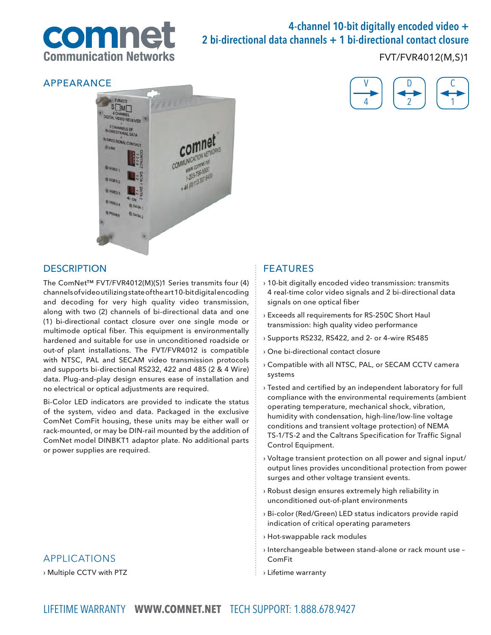

# 4-channel 10-bit digitally encoded video + 2 bi-directional data channels + 1 bi-directional contact closure

V

4

FVT/FVR4012(M,S)1

 $\mathsf{C}$ 

1

2

## **APPEARANCE**



## **DESCRIPTION**

The ComNet™ FVT/FVR4012(M)(S)1 Series transmits four (4) channels of video utilizing state of the art 10-bit digital encoding and decoding for very high quality video transmission, along with two (2) channels of bi-directional data and one (1) bi-directional contact closure over one single mode or multimode optical fiber. This equipment is environmentally hardened and suitable for use in unconditioned roadside or out-of plant installations. The FVT/FVR4012 is compatible with NTSC, PAL and SECAM video transmission protocols and supports bi-directional RS232, 422 and 485 (2 & 4 Wire) data. Plug-and-play design ensures ease of installation and no electrical or optical adjustments are required.

Bi-Color LED indicators are provided to indicate the status of the system, video and data. Packaged in the exclusive ComNet ComFit housing, these units may be either wall or rack-mounted, or may be DIN-rail mounted by the addition of ComNet model DINBKT1 adaptor plate. No additional parts or power supplies are required.

## Applications

› Multiple CCTV with PTZ

## **FEATURES**

- › 10-bit digitally encoded video transmission: transmits 4 real-time color video signals and 2 bi-directional data signals on one optical fiber
- › Exceeds all requirements for RS-250C Short Haul transmission: high quality video performance
- › Supports RS 232, RS 422, and 2- or 4-wire RS 485
- › One bi-directional contact closure
- › Compatible with all NTS C, PAL, or SE CAM CCTV camera systems
- › Tested and certified by an independent laboratory for full compliance with the environmental requirements (ambient operating temperature, mechanical shock, vibration, humidity with condensation, high-line/low-line voltage conditions and transient voltage protection) of NEMA TS -1/TS -2 and the Caltrans Specification for Traffic Signal Control Equipment.
- › Voltage transient protection on all power and signal input/ output lines provides unconditional protection from power surges and other voltage transient events.
- › Robust design ensures extremely high reliability in unconditioned out-of-plant environments
- › Bi-color (Red/Green) LED status indicators provide rapid indication of critical operating parameters
- › Hot-swappable rack modules
- › Interchangeable between stand-alone or rack mount use ComFit
- › Lifetime warranty